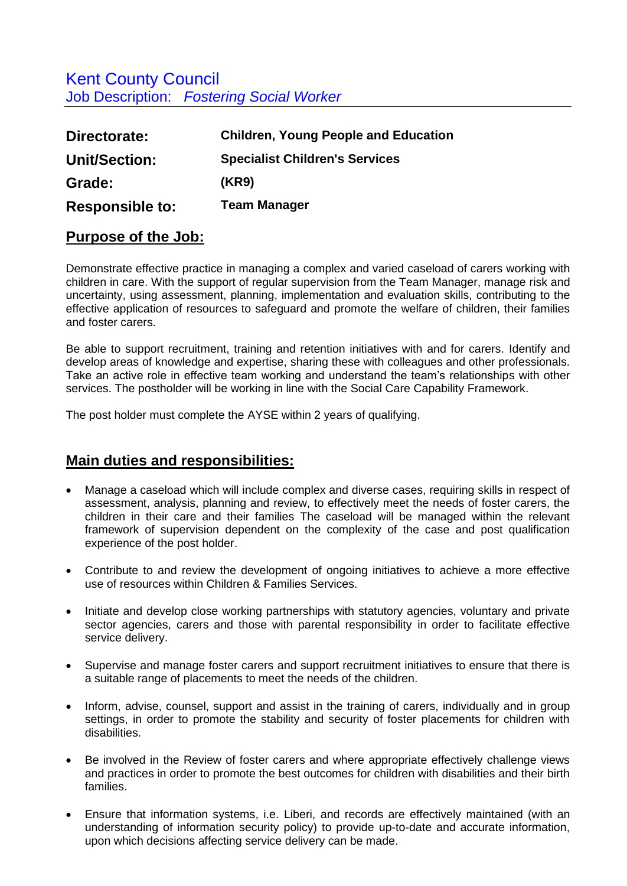# Kent County Council Job Description: *Fostering Social Worker*

| Directorate:           | <b>Children, Young People and Education</b> |
|------------------------|---------------------------------------------|
| Unit/Section:          | <b>Specialist Children's Services</b>       |
| Grade:                 | (KR9)                                       |
| <b>Responsible to:</b> | <b>Team Manager</b>                         |

## **Purpose of the Job:**

Demonstrate effective practice in managing a complex and varied caseload of carers working with children in care. With the support of regular supervision from the Team Manager, manage risk and uncertainty, using assessment, planning, implementation and evaluation skills, contributing to the effective application of resources to safeguard and promote the welfare of children, their families and foster carers.

Be able to support recruitment, training and retention initiatives with and for carers. Identify and develop areas of knowledge and expertise, sharing these with colleagues and other professionals. Take an active role in effective team working and understand the team's relationships with other services. The postholder will be working in line with the Social Care Capability Framework.

The post holder must complete the AYSE within 2 years of qualifying.

## **Main duties and responsibilities:**

- Manage a caseload which will include complex and diverse cases, requiring skills in respect of assessment, analysis, planning and review, to effectively meet the needs of foster carers, the children in their care and their families The caseload will be managed within the relevant framework of supervision dependent on the complexity of the case and post qualification experience of the post holder.
- Contribute to and review the development of ongoing initiatives to achieve a more effective use of resources within Children & Families Services.
- Initiate and develop close working partnerships with statutory agencies, voluntary and private sector agencies, carers and those with parental responsibility in order to facilitate effective service delivery.
- Supervise and manage foster carers and support recruitment initiatives to ensure that there is a suitable range of placements to meet the needs of the children.
- Inform, advise, counsel, support and assist in the training of carers, individually and in group settings, in order to promote the stability and security of foster placements for children with disabilities.
- Be involved in the Review of foster carers and where appropriate effectively challenge views and practices in order to promote the best outcomes for children with disabilities and their birth families.
- Ensure that information systems, i.e. Liberi, and records are effectively maintained (with an understanding of information security policy) to provide up-to-date and accurate information, upon which decisions affecting service delivery can be made.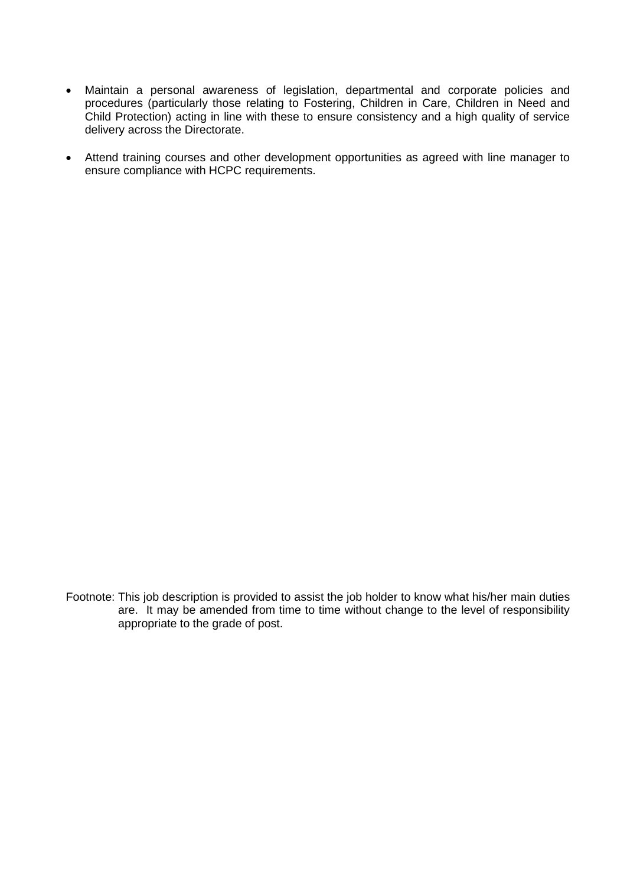- Maintain a personal awareness of legislation, departmental and corporate policies and procedures (particularly those relating to Fostering, Children in Care, Children in Need and Child Protection) acting in line with these to ensure consistency and a high quality of service delivery across the Directorate.
- Attend training courses and other development opportunities as agreed with line manager to ensure compliance with HCPC requirements.

Footnote: This job description is provided to assist the job holder to know what his/her main duties are. It may be amended from time to time without change to the level of responsibility appropriate to the grade of post.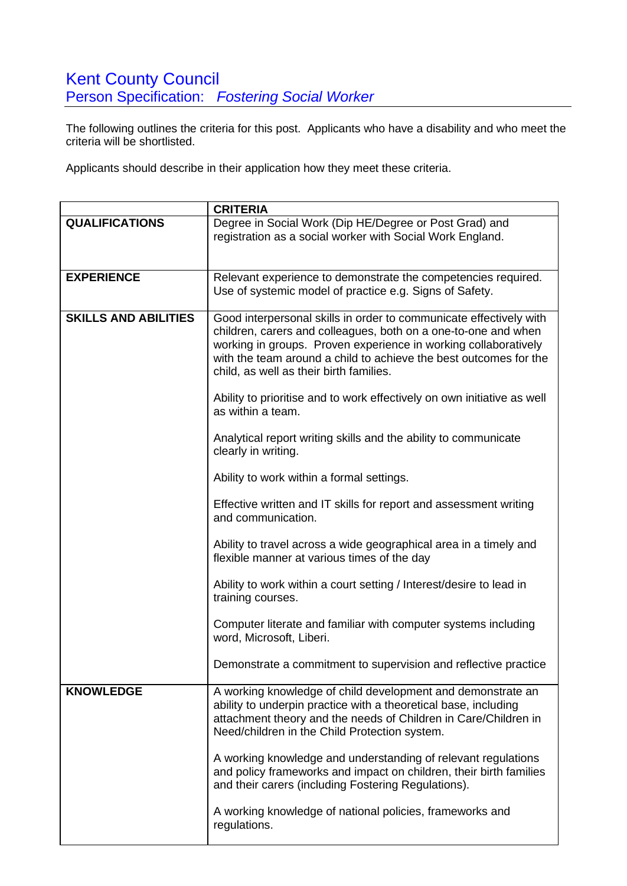The following outlines the criteria for this post. Applicants who have a disability and who meet the criteria will be shortlisted.

Applicants should describe in their application how they meet these criteria.

|                             | <b>CRITERIA</b>                                                                                                                                                                                                                                                                                                         |
|-----------------------------|-------------------------------------------------------------------------------------------------------------------------------------------------------------------------------------------------------------------------------------------------------------------------------------------------------------------------|
| <b>QUALIFICATIONS</b>       | Degree in Social Work (Dip HE/Degree or Post Grad) and<br>registration as a social worker with Social Work England.                                                                                                                                                                                                     |
| <b>EXPERIENCE</b>           | Relevant experience to demonstrate the competencies required.<br>Use of systemic model of practice e.g. Signs of Safety.                                                                                                                                                                                                |
| <b>SKILLS AND ABILITIES</b> | Good interpersonal skills in order to communicate effectively with<br>children, carers and colleagues, both on a one-to-one and when<br>working in groups. Proven experience in working collaboratively<br>with the team around a child to achieve the best outcomes for the<br>child, as well as their birth families. |
|                             | Ability to prioritise and to work effectively on own initiative as well<br>as within a team.                                                                                                                                                                                                                            |
|                             | Analytical report writing skills and the ability to communicate<br>clearly in writing.                                                                                                                                                                                                                                  |
|                             | Ability to work within a formal settings.                                                                                                                                                                                                                                                                               |
|                             | Effective written and IT skills for report and assessment writing<br>and communication.                                                                                                                                                                                                                                 |
|                             | Ability to travel across a wide geographical area in a timely and<br>flexible manner at various times of the day                                                                                                                                                                                                        |
|                             | Ability to work within a court setting / Interest/desire to lead in<br>training courses.                                                                                                                                                                                                                                |
|                             | Computer literate and familiar with computer systems including<br>word, Microsoft, Liberi.                                                                                                                                                                                                                              |
|                             | Demonstrate a commitment to supervision and reflective practice                                                                                                                                                                                                                                                         |
| <b>KNOWLEDGE</b>            | A working knowledge of child development and demonstrate an<br>ability to underpin practice with a theoretical base, including<br>attachment theory and the needs of Children in Care/Children in<br>Need/children in the Child Protection system.                                                                      |
|                             | A working knowledge and understanding of relevant regulations<br>and policy frameworks and impact on children, their birth families<br>and their carers (including Fostering Regulations).                                                                                                                              |
|                             | A working knowledge of national policies, frameworks and<br>regulations.                                                                                                                                                                                                                                                |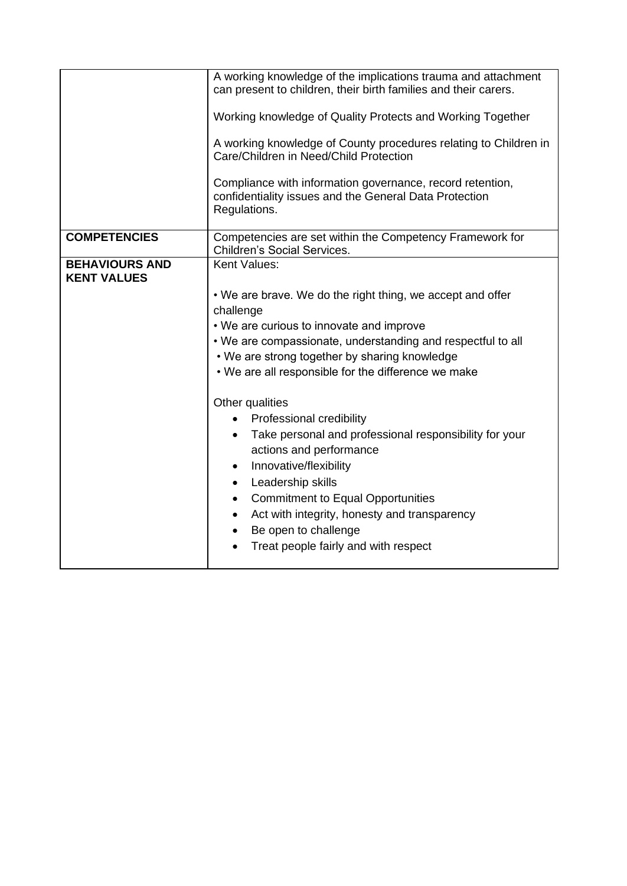|                                             | A working knowledge of the implications trauma and attachment<br>can present to children, their birth families and their carers.    |
|---------------------------------------------|-------------------------------------------------------------------------------------------------------------------------------------|
|                                             | Working knowledge of Quality Protects and Working Together                                                                          |
|                                             | A working knowledge of County procedures relating to Children in<br>Care/Children in Need/Child Protection                          |
|                                             | Compliance with information governance, record retention,<br>confidentiality issues and the General Data Protection<br>Regulations. |
| <b>COMPETENCIES</b>                         | Competencies are set within the Competency Framework for<br><b>Children's Social Services.</b>                                      |
| <b>BEHAVIOURS AND</b><br><b>KENT VALUES</b> | Kent Values:                                                                                                                        |
|                                             | • We are brave. We do the right thing, we accept and offer                                                                          |
|                                             | challenge                                                                                                                           |
|                                             | • We are curious to innovate and improve                                                                                            |
|                                             | . We are compassionate, understanding and respectful to all                                                                         |
|                                             | • We are strong together by sharing knowledge                                                                                       |
|                                             | • We are all responsible for the difference we make                                                                                 |
|                                             | Other qualities                                                                                                                     |
|                                             | Professional credibility                                                                                                            |
|                                             | Take personal and professional responsibility for your<br>$\bullet$<br>actions and performance                                      |
|                                             | Innovative/flexibility<br>$\bullet$                                                                                                 |
|                                             | Leadership skills<br>$\bullet$                                                                                                      |
|                                             | <b>Commitment to Equal Opportunities</b><br>$\bullet$                                                                               |
|                                             | Act with integrity, honesty and transparency<br>$\bullet$                                                                           |
|                                             | Be open to challenge                                                                                                                |
|                                             | Treat people fairly and with respect                                                                                                |
|                                             |                                                                                                                                     |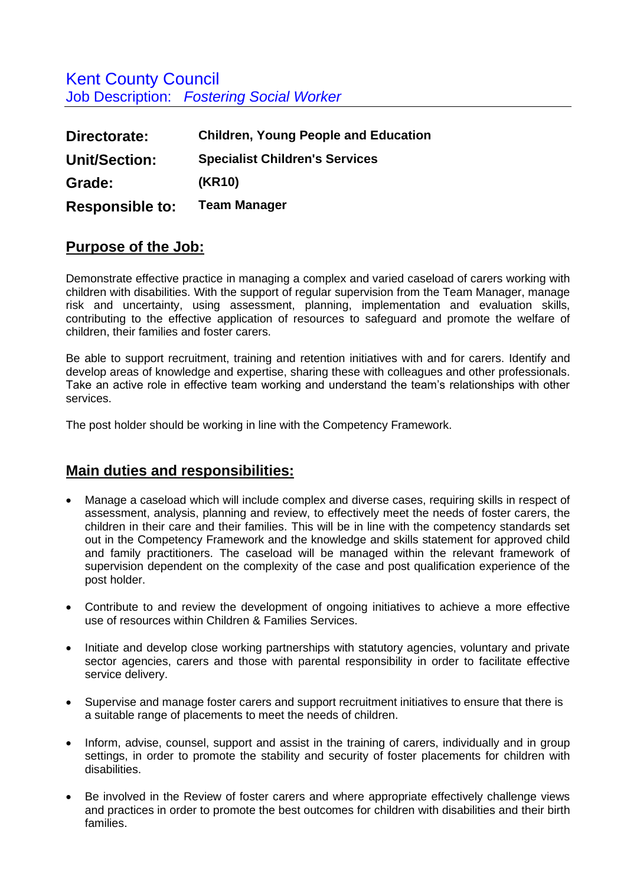Kent County Council Job Description: *Fostering Social Worker*

| Directorate:           | <b>Children, Young People and Education</b> |
|------------------------|---------------------------------------------|
| <b>Unit/Section:</b>   | <b>Specialist Children's Services</b>       |
| Grade:                 | (KR10)                                      |
| <b>Responsible to:</b> | <b>Team Manager</b>                         |

#### **Purpose of the Job:**

Demonstrate effective practice in managing a complex and varied caseload of carers working with children with disabilities. With the support of regular supervision from the Team Manager, manage risk and uncertainty, using assessment, planning, implementation and evaluation skills, contributing to the effective application of resources to safeguard and promote the welfare of children, their families and foster carers.

Be able to support recruitment, training and retention initiatives with and for carers. Identify and develop areas of knowledge and expertise, sharing these with colleagues and other professionals. Take an active role in effective team working and understand the team's relationships with other services.

The post holder should be working in line with the Competency Framework.

## **Main duties and responsibilities:**

- Manage a caseload which will include complex and diverse cases, requiring skills in respect of assessment, analysis, planning and review, to effectively meet the needs of foster carers, the children in their care and their families. This will be in line with the competency standards set out in the Competency Framework and the knowledge and skills statement for approved child and family practitioners. The caseload will be managed within the relevant framework of supervision dependent on the complexity of the case and post qualification experience of the post holder.
- Contribute to and review the development of ongoing initiatives to achieve a more effective use of resources within Children & Families Services.
- Initiate and develop close working partnerships with statutory agencies, voluntary and private sector agencies, carers and those with parental responsibility in order to facilitate effective service delivery.
- Supervise and manage foster carers and support recruitment initiatives to ensure that there is a suitable range of placements to meet the needs of children.
- Inform, advise, counsel, support and assist in the training of carers, individually and in group settings, in order to promote the stability and security of foster placements for children with disabilities.
- Be involved in the Review of foster carers and where appropriate effectively challenge views and practices in order to promote the best outcomes for children with disabilities and their birth families.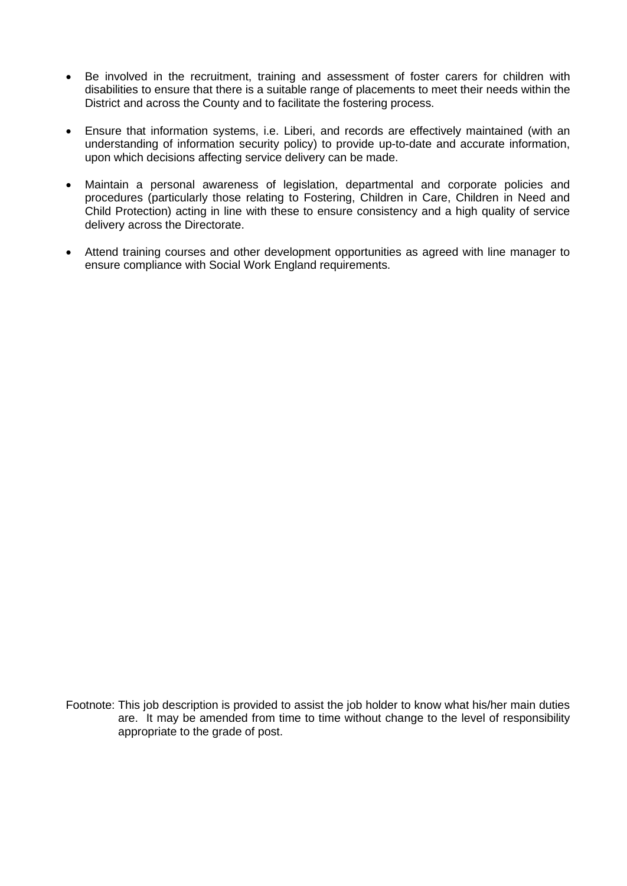- Be involved in the recruitment, training and assessment of foster carers for children with disabilities to ensure that there is a suitable range of placements to meet their needs within the District and across the County and to facilitate the fostering process.
- Ensure that information systems, i.e. Liberi, and records are effectively maintained (with an understanding of information security policy) to provide up-to-date and accurate information, upon which decisions affecting service delivery can be made.
- Maintain a personal awareness of legislation, departmental and corporate policies and procedures (particularly those relating to Fostering, Children in Care, Children in Need and Child Protection) acting in line with these to ensure consistency and a high quality of service delivery across the Directorate.
- Attend training courses and other development opportunities as agreed with line manager to ensure compliance with Social Work England requirements.

Footnote: This job description is provided to assist the job holder to know what his/her main duties are. It may be amended from time to time without change to the level of responsibility appropriate to the grade of post.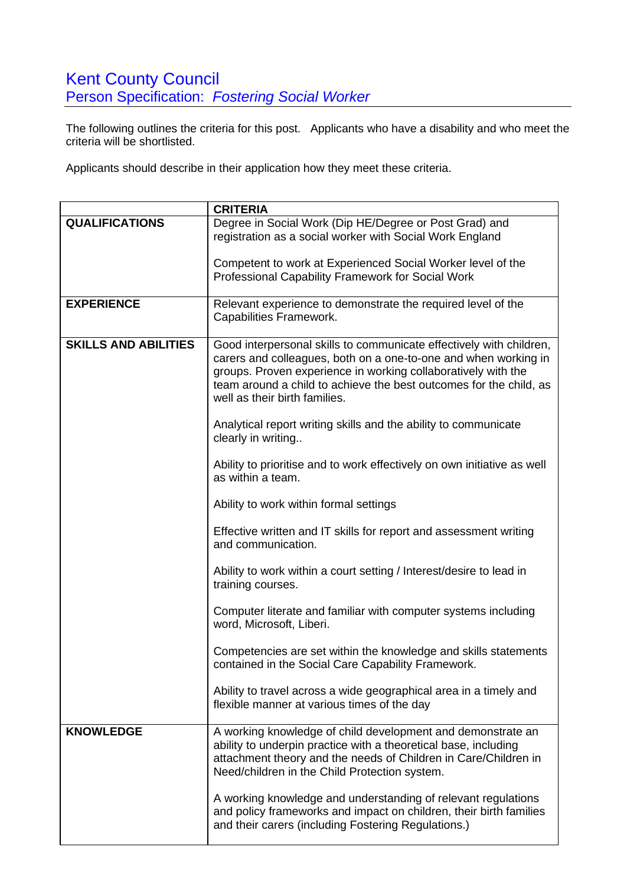# **Kent County Council** Person Specification: *Fostering Social Worker*

The following outlines the criteria for this post. Applicants who have a disability and who meet the criteria will be shortlisted.

Applicants should describe in their application how they meet these criteria.

|                             | <b>CRITERIA</b>                                                                                                                    |
|-----------------------------|------------------------------------------------------------------------------------------------------------------------------------|
| <b>QUALIFICATIONS</b>       | Degree in Social Work (Dip HE/Degree or Post Grad) and                                                                             |
|                             | registration as a social worker with Social Work England                                                                           |
|                             |                                                                                                                                    |
|                             | Competent to work at Experienced Social Worker level of the                                                                        |
|                             | Professional Capability Framework for Social Work                                                                                  |
| <b>EXPERIENCE</b>           |                                                                                                                                    |
|                             | Relevant experience to demonstrate the required level of the<br>Capabilities Framework.                                            |
|                             |                                                                                                                                    |
| <b>SKILLS AND ABILITIES</b> | Good interpersonal skills to communicate effectively with children,                                                                |
|                             | carers and colleagues, both on a one-to-one and when working in                                                                    |
|                             | groups. Proven experience in working collaboratively with the                                                                      |
|                             | team around a child to achieve the best outcomes for the child, as                                                                 |
|                             | well as their birth families.                                                                                                      |
|                             |                                                                                                                                    |
|                             | Analytical report writing skills and the ability to communicate<br>clearly in writing                                              |
|                             |                                                                                                                                    |
|                             | Ability to prioritise and to work effectively on own initiative as well                                                            |
|                             | as within a team.                                                                                                                  |
|                             |                                                                                                                                    |
|                             | Ability to work within formal settings                                                                                             |
|                             | Effective written and IT skills for report and assessment writing                                                                  |
|                             | and communication.                                                                                                                 |
|                             |                                                                                                                                    |
|                             | Ability to work within a court setting / Interest/desire to lead in                                                                |
|                             | training courses.                                                                                                                  |
|                             |                                                                                                                                    |
|                             | Computer literate and familiar with computer systems including                                                                     |
|                             | word, Microsoft, Liberi.                                                                                                           |
|                             | Competencies are set within the knowledge and skills statements                                                                    |
|                             | contained in the Social Care Capability Framework.                                                                                 |
|                             |                                                                                                                                    |
|                             | Ability to travel across a wide geographical area in a timely and                                                                  |
|                             | flexible manner at various times of the day                                                                                        |
|                             |                                                                                                                                    |
| <b>KNOWLEDGE</b>            | A working knowledge of child development and demonstrate an                                                                        |
|                             | ability to underpin practice with a theoretical base, including<br>attachment theory and the needs of Children in Care/Children in |
|                             | Need/children in the Child Protection system.                                                                                      |
|                             |                                                                                                                                    |
|                             | A working knowledge and understanding of relevant regulations                                                                      |
|                             | and policy frameworks and impact on children, their birth families                                                                 |
|                             | and their carers (including Fostering Regulations.)                                                                                |
|                             |                                                                                                                                    |